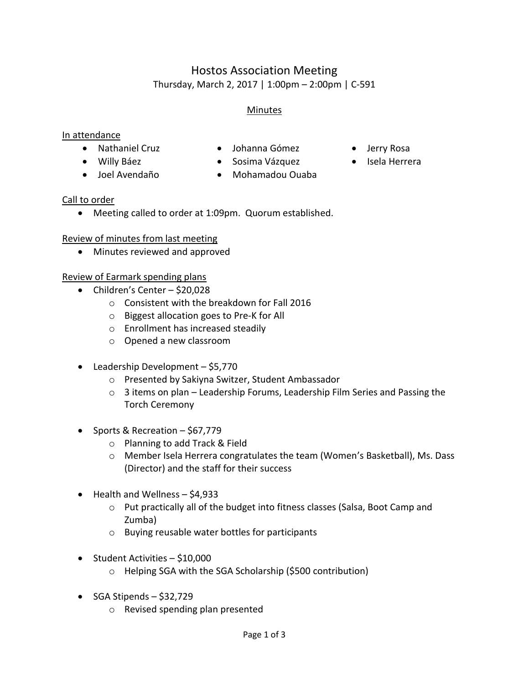# Hostos Association Meeting Thursday, March 2, 2017 | 1:00pm – 2:00pm | C-591

#### Minutes

#### In attendance

- Nathaniel Cruz Johanna Gómez Jerry Rosa
- 
- 
- 
- Willy Báez Sosima Vázquez Isela Herrera
- 
- Joel Avendaño Mohamadou Ouaba

#### Call to order

Meeting called to order at 1:09pm. Quorum established.

#### Review of minutes from last meeting

Minutes reviewed and approved

#### Review of Earmark spending plans

- Children's Center \$20,028
	- o Consistent with the breakdown for Fall 2016
	- o Biggest allocation goes to Pre-K for All
	- o Enrollment has increased steadily
	- o Opened a new classroom
- Leadership Development \$5,770
	- o Presented by Sakiyna Switzer, Student Ambassador
	- $\circ$  3 items on plan Leadership Forums, Leadership Film Series and Passing the Torch Ceremony
- Sports & Recreation  $-$  \$67,779
	- o Planning to add Track & Field
	- o Member Isela Herrera congratulates the team (Women's Basketball), Ms. Dass (Director) and the staff for their success
- Health and Wellness \$4,933
	- o Put practically all of the budget into fitness classes (Salsa, Boot Camp and Zumba)
	- o Buying reusable water bottles for participants
- Student Activities \$10,000
	- o Helping SGA with the SGA Scholarship (\$500 contribution)
- $\bullet$  SGA Stipends \$32,729
	- o Revised spending plan presented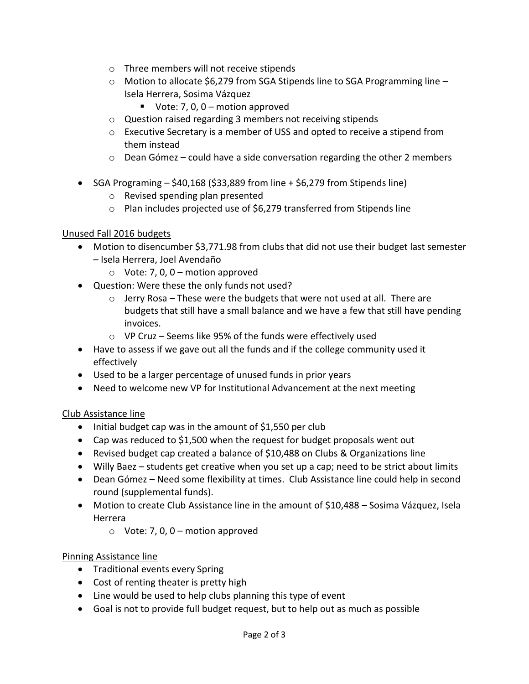- o Three members will not receive stipends
- $\circ$  Motion to allocate \$6,279 from SGA Stipends line to SGA Programming line Isela Herrera, Sosima Vázquez
	- Vote: 7, 0,  $0 -$  motion approved
- o Question raised regarding 3 members not receiving stipends
- o Executive Secretary is a member of USS and opted to receive a stipend from them instead
- $\circ$  Dean Gómez could have a side conversation regarding the other 2 members
- SGA Programing  $-$  \$40,168 (\$33,889 from line  $+$  \$6,279 from Stipends line)
	- o Revised spending plan presented
	- o Plan includes projected use of \$6,279 transferred from Stipends line

#### Unused Fall 2016 budgets

- Motion to disencumber \$3,771.98 from clubs that did not use their budget last semester – Isela Herrera, Joel Avendaño
	- $\circ$  Vote: 7, 0, 0 motion approved
- Question: Were these the only funds not used?
	- o Jerry Rosa These were the budgets that were not used at all. There are budgets that still have a small balance and we have a few that still have pending invoices.
	- o VP Cruz Seems like 95% of the funds were effectively used
- Have to assess if we gave out all the funds and if the college community used it effectively
- Used to be a larger percentage of unused funds in prior years
- Need to welcome new VP for Institutional Advancement at the next meeting

#### Club Assistance line

- Initial budget cap was in the amount of \$1,550 per club
- Cap was reduced to \$1,500 when the request for budget proposals went out
- Revised budget cap created a balance of \$10,488 on Clubs & Organizations line
- Willy Baez students get creative when you set up a cap; need to be strict about limits
- Dean Gómez Need some flexibility at times. Club Assistance line could help in second round (supplemental funds).
- Motion to create Club Assistance line in the amount of \$10,488 Sosima Vázquez, Isela Herrera
	- $\circ$  Vote: 7, 0, 0 motion approved

#### Pinning Assistance line

- Traditional events every Spring
- Cost of renting theater is pretty high
- Line would be used to help clubs planning this type of event
- Goal is not to provide full budget request, but to help out as much as possible